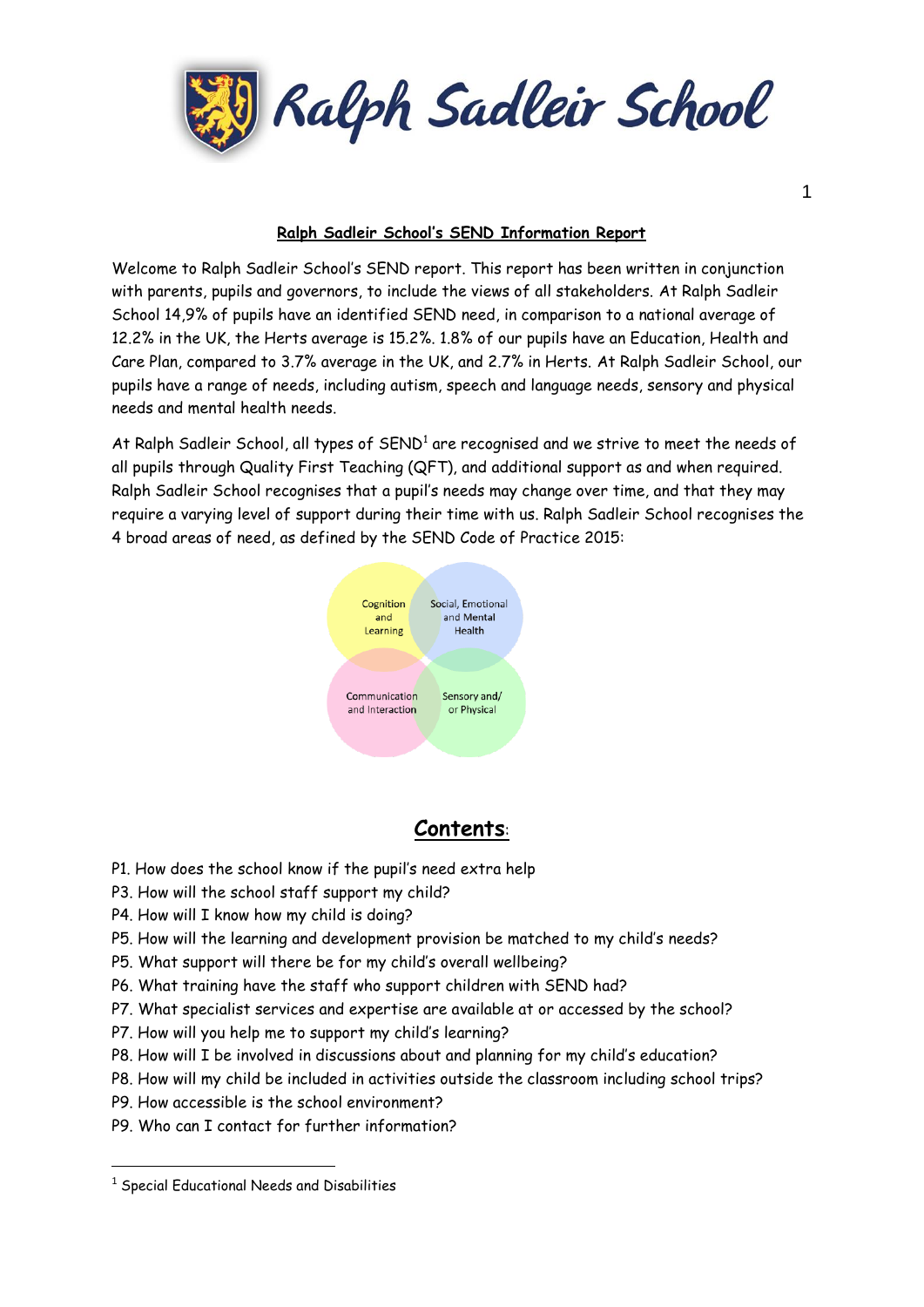

#### **Ralph Sadleir School's SEND Information Report**

Welcome to Ralph Sadleir School's SEND report. This report has been written in conjunction with parents, pupils and governors, to include the views of all stakeholders. At Ralph Sadleir School 14,9% of pupils have an identified SEND need, in comparison to a national average of 12.2% in the UK, the Herts average is 15.2%. 1.8% of our pupils have an Education, Health and Care Plan, compared to 3.7% average in the UK, and 2.7% in Herts. At Ralph Sadleir School, our pupils have a range of needs, including autism, speech and language needs, sensory and physical needs and mental health needs.

At Ralph Sadleir School, all types of  ${\sf SEND}^1$  are recognised and we strive to meet the needs of all pupils through Quality First Teaching (QFT), and additional support as and when required. Ralph Sadleir School recognises that a pupil's needs may change over time, and that they may require a varying level of support during their time with us. Ralph Sadleir School recognises the 4 broad areas of need, as defined by the SEND Code of Practice 2015:



# **Contents**:

- P1. How does the school know if the pupil's need extra help
- P3. How will the school staff support my child?
- P4. How will I know how my child is doing?
- P5. How will the learning and development provision be matched to my child's needs?
- P5. What support will there be for my child's overall wellbeing?
- P6. What training have the staff who support children with SEND had?
- P7. What specialist services and expertise are available at or accessed by the school?
- P7. How will you help me to support my child's learning?
- P8. How will I be involved in discussions about and planning for my child's education?
- P8. How will my child be included in activities outside the classroom including school trips?
- P9. How accessible is the school environment?
- P9. Who can I contact for further information?

**.** 

<sup>&</sup>lt;sup>1</sup> Special Educational Needs and Disabilities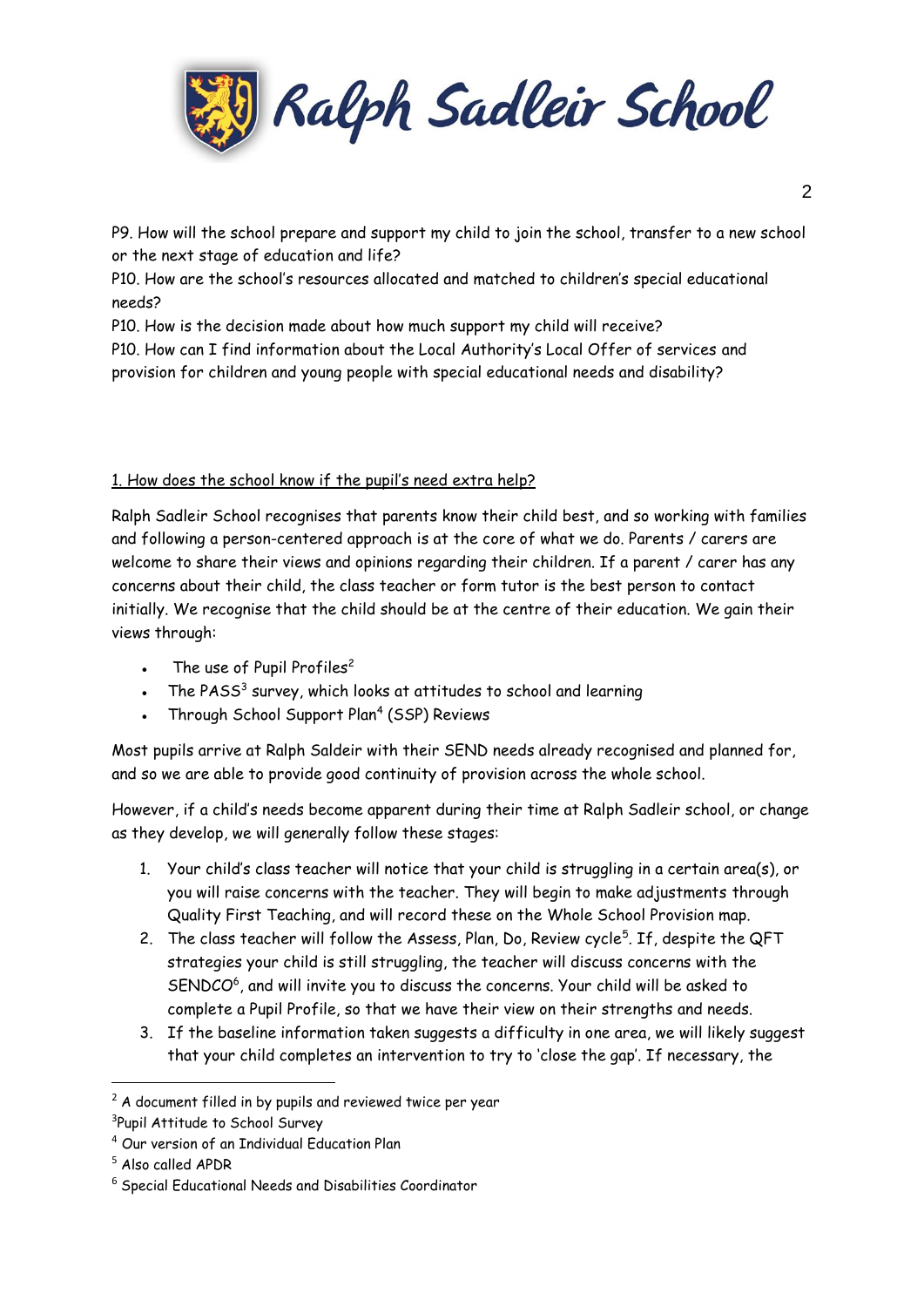

P9. How will the school prepare and support my child to join the school, transfer to a new school or the next stage of education and life?

P10. How are the school's resources allocated and matched to children's special educational needs?

P10. How is the decision made about how much support my child will receive?

P10. How can I find information about the Local Authority's Local Offer of services and provision for children and young people with special educational needs and disability?

## 1. How does the school know if the pupil's need extra help?

Ralph Sadleir School recognises that parents know their child best, and so working with families and following a person-centered approach is at the core of what we do. Parents / carers are welcome to share their views and opinions regarding their children. If a parent / carer has any concerns about their child, the class teacher or form tutor is the best person to contact initially. We recognise that the child should be at the centre of their education. We gain their views through:

- The use of Pupil Profiles<sup>2</sup>
- The PASS<sup>3</sup> survey, which looks at attitudes to school and learning
- Through School Support Plan<sup>4</sup> (SSP) Reviews

Most pupils arrive at Ralph Saldeir with their SEND needs already recognised and planned for, and so we are able to provide good continuity of provision across the whole school.

However, if a child's needs become apparent during their time at Ralph Sadleir school, or change as they develop, we will generally follow these stages:

- 1. Your child's class teacher will notice that your child is struggling in a certain area(s), or you will raise concerns with the teacher. They will begin to make adjustments through Quality First Teaching, and will record these on the Whole School Provision map.
- 2. The class teacher will follow the Assess, Plan, Do, Review cycle<sup>5</sup>. If, despite the QFT strategies your child is still struggling, the teacher will discuss concerns with the SENDCO<sup>6</sup>, and will invite you to discuss the concerns. Your child will be asked to complete a Pupil Profile, so that we have their view on their strengths and needs.
- 3. If the baseline information taken suggests a difficulty in one area, we will likely suggest that your child completes an intervention to try to 'close the gap'. If necessary, the

 $\overline{a}$ 

 $2$  A document filled in by pupils and reviewed twice per year

<sup>&</sup>lt;sup>3</sup>Pupil Attitude to School Survey

<sup>4</sup> Our version of an Individual Education Plan

<sup>5</sup> Also called APDR

<sup>6</sup> Special Educational Needs and Disabilities Coordinator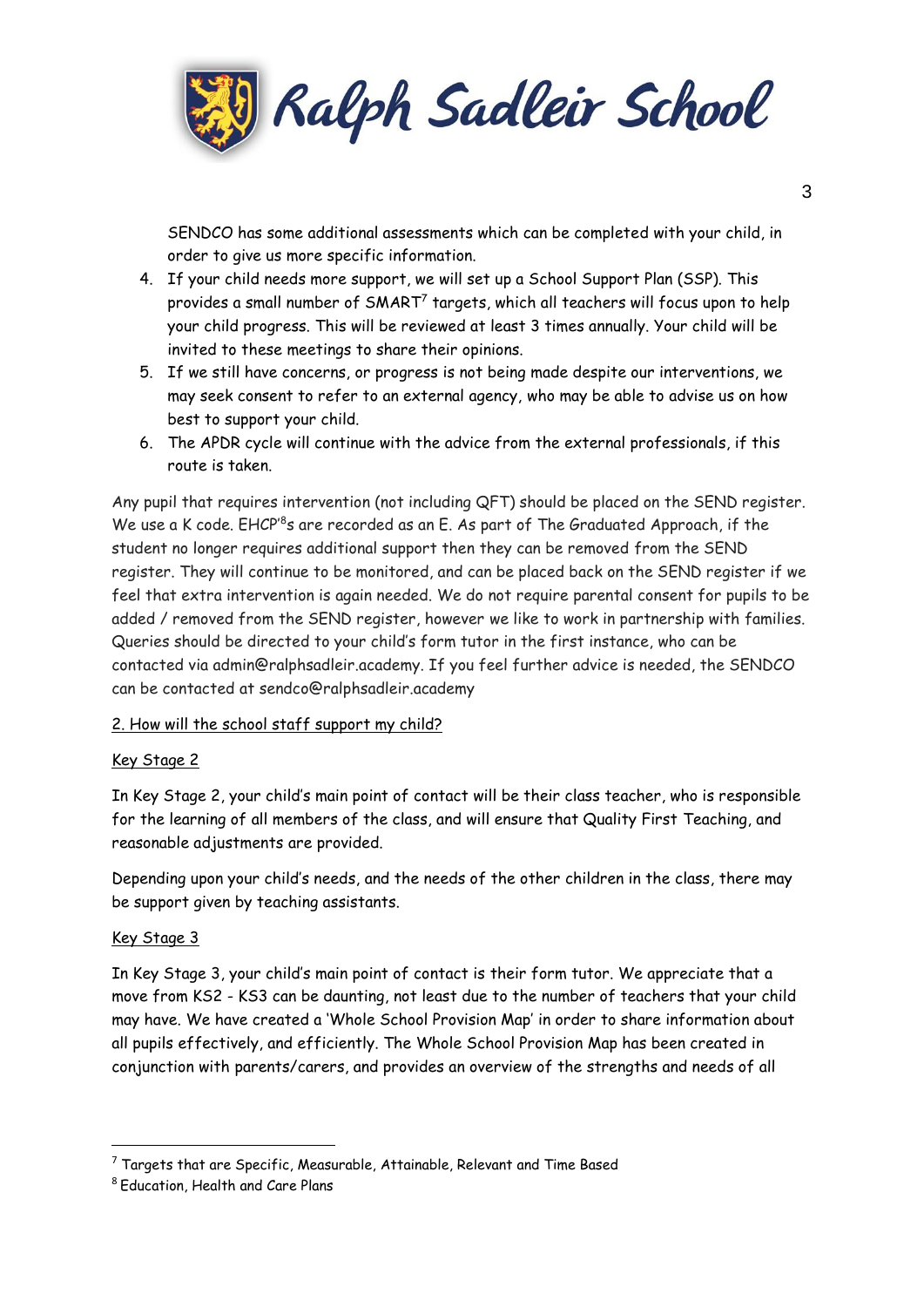

SENDCO has some additional assessments which can be completed with your child, in order to give us more specific information.

- 4. If your child needs more support, we will set up a School Support Plan (SSP). This provides a small number of SMART<sup>7</sup> targets, which all teachers will focus upon to help your child progress. This will be reviewed at least 3 times annually. Your child will be invited to these meetings to share their opinions.
- 5. If we still have concerns, or progress is not being made despite our interventions, we may seek consent to refer to an external agency, who may be able to advise us on how best to support your child.
- 6. The APDR cycle will continue with the advice from the external professionals, if this route is taken.

Any pupil that requires intervention (not including QFT) should be placed on the SEND register. We use a K code. EHCP'<sup>8</sup>s are recorded as an E. As part of The Graduated Approach, if the student no longer requires additional support then they can be removed from the SEND register. They will continue to be monitored, and can be placed back on the SEND register if we feel that extra intervention is again needed. We do not require parental consent for pupils to be added / removed from the SEND register, however we like to work in partnership with families. Queries should be directed to your child's form tutor in the first instance, who can be contacted via admin@ralphsadleir.academy. If you feel further advice is needed, the SENDCO can be contacted at sendco@ralphsadleir.academy

## 2. How will the school staff support my child?

## Key Stage 2

In Key Stage 2, your child's main point of contact will be their class teacher, who is responsible for the learning of all members of the class, and will ensure that Quality First Teaching, and reasonable adjustments are provided.

Depending upon your child's needs, and the needs of the other children in the class, there may be support given by teaching assistants.

#### Key Stage 3

**.** 

In Key Stage 3, your child's main point of contact is their form tutor. We appreciate that a move from KS2 - KS3 can be daunting, not least due to the number of teachers that your child may have. We have created a 'Whole School Provision Map' in order to share information about all pupils effectively, and efficiently. The Whole School Provision Map has been created in conjunction with parents/carers, and provides an overview of the strengths and needs of all

 $7$  Targets that are Specific, Measurable, Attainable, Relevant and Time Based

<sup>8</sup> Education, Health and Care Plans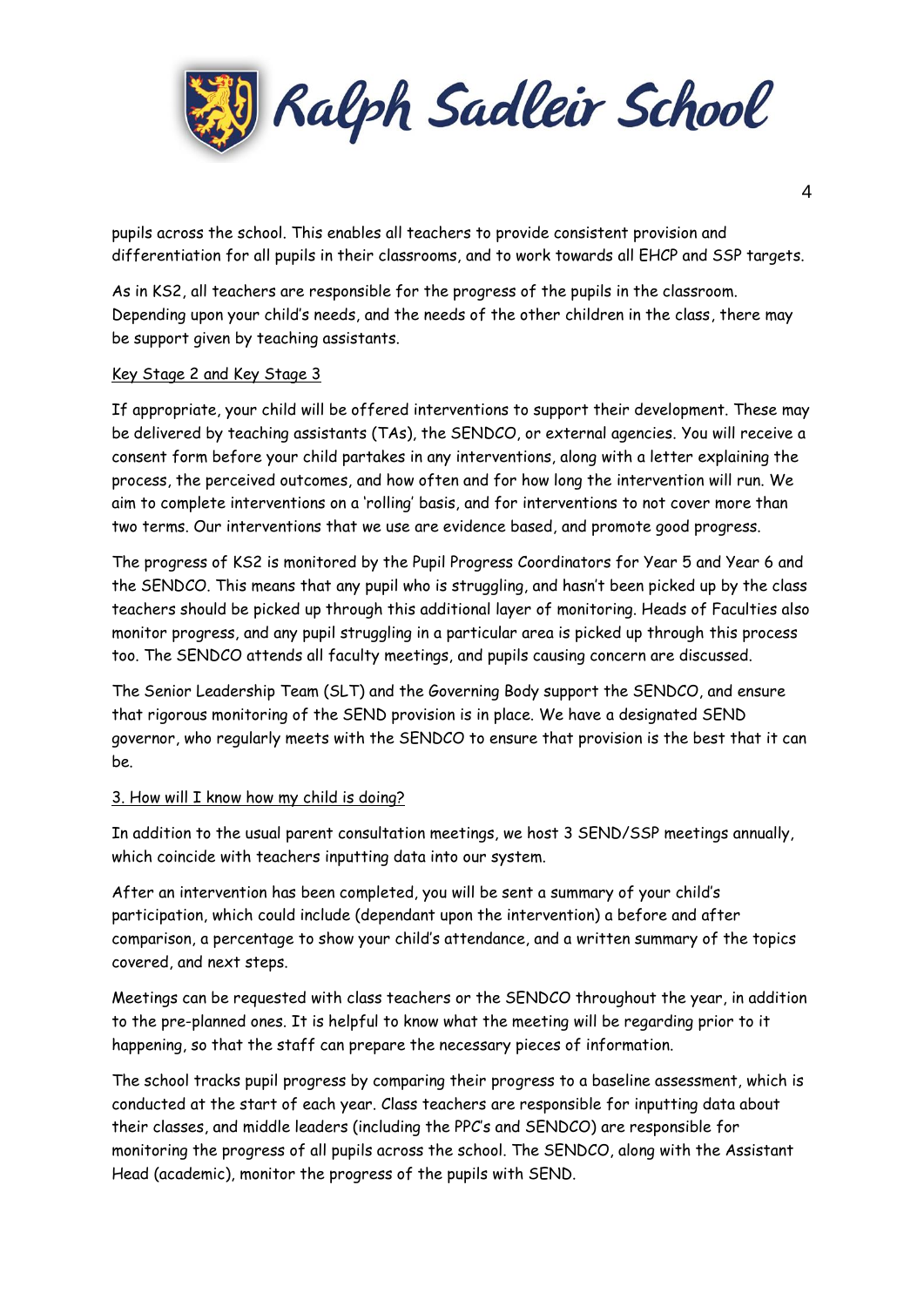

pupils across the school. This enables all teachers to provide consistent provision and differentiation for all pupils in their classrooms, and to work towards all EHCP and SSP targets.

As in KS2, all teachers are responsible for the progress of the pupils in the classroom. Depending upon your child's needs, and the needs of the other children in the class, there may be support given by teaching assistants.

#### Key Stage 2 and Key Stage 3

If appropriate, your child will be offered interventions to support their development. These may be delivered by teaching assistants (TAs), the SENDCO, or external agencies. You will receive a consent form before your child partakes in any interventions, along with a letter explaining the process, the perceived outcomes, and how often and for how long the intervention will run. We aim to complete interventions on a 'rolling' basis, and for interventions to not cover more than two terms. Our interventions that we use are evidence based, and promote good progress.

The progress of KS2 is monitored by the Pupil Progress Coordinators for Year 5 and Year 6 and the SENDCO. This means that any pupil who is struggling, and hasn't been picked up by the class teachers should be picked up through this additional layer of monitoring. Heads of Faculties also monitor progress, and any pupil struggling in a particular area is picked up through this process too. The SENDCO attends all faculty meetings, and pupils causing concern are discussed.

The Senior Leadership Team (SLT) and the Governing Body support the SENDCO, and ensure that rigorous monitoring of the SEND provision is in place. We have a designated SEND governor, who regularly meets with the SENDCO to ensure that provision is the best that it can be.

## 3. How will I know how my child is doing?

In addition to the usual parent consultation meetings, we host 3 SEND/SSP meetings annually, which coincide with teachers inputting data into our system.

After an intervention has been completed, you will be sent a summary of your child's participation, which could include (dependant upon the intervention) a before and after comparison, a percentage to show your child's attendance, and a written summary of the topics covered, and next steps.

Meetings can be requested with class teachers or the SENDCO throughout the year, in addition to the pre-planned ones. It is helpful to know what the meeting will be regarding prior to it happening, so that the staff can prepare the necessary pieces of information.

The school tracks pupil progress by comparing their progress to a baseline assessment, which is conducted at the start of each year. Class teachers are responsible for inputting data about their classes, and middle leaders (including the PPC's and SENDCO) are responsible for monitoring the progress of all pupils across the school. The SENDCO, along with the Assistant Head (academic), monitor the progress of the pupils with SEND.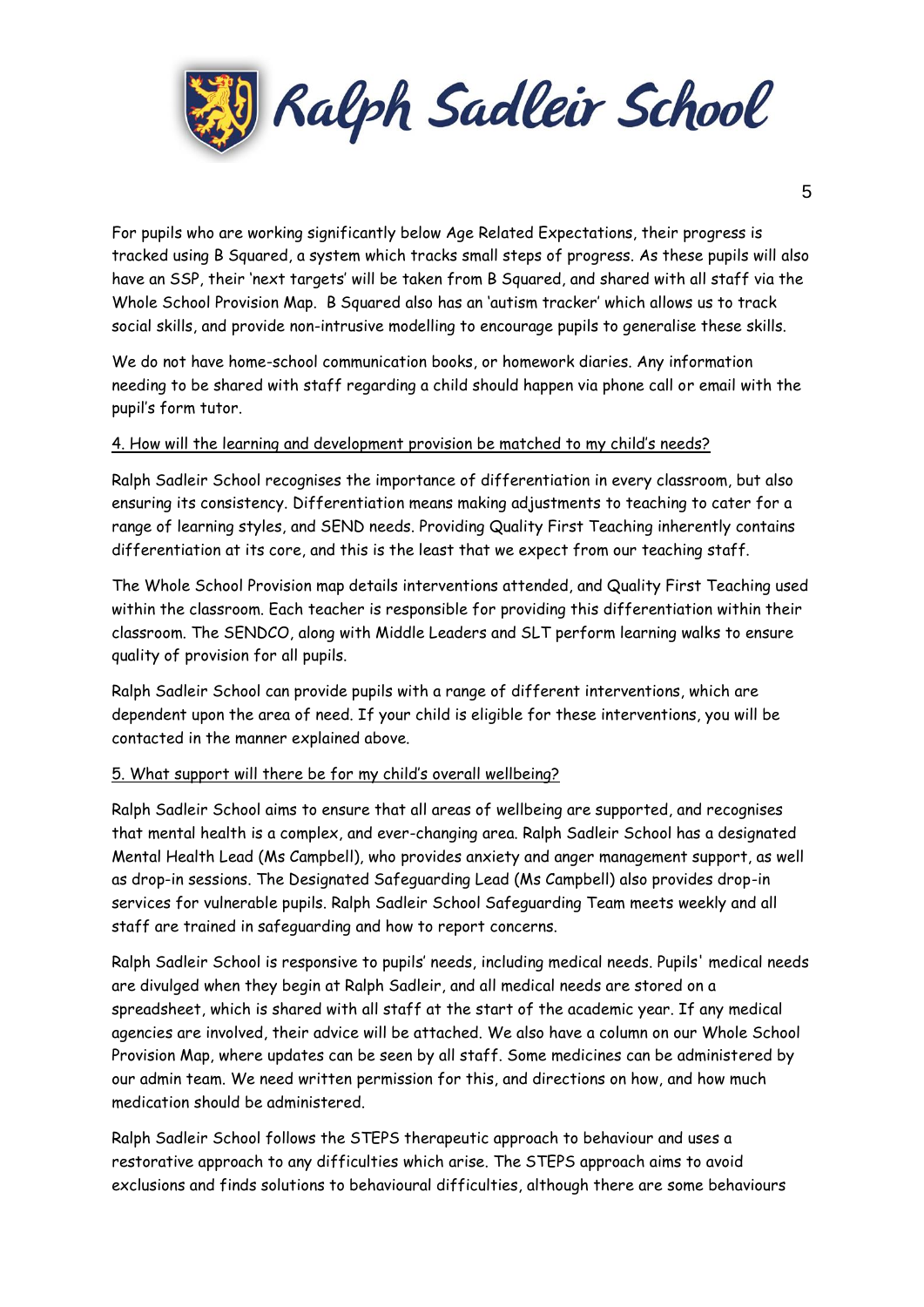

For pupils who are working significantly below Age Related Expectations, their progress is tracked using B Squared, a system which tracks small steps of progress. As these pupils will also have an SSP, their 'next targets' will be taken from B Squared, and shared with all staff via the Whole School Provision Map. B Squared also has an 'autism tracker' which allows us to track social skills, and provide non-intrusive modelling to encourage pupils to generalise these skills.

We do not have home-school communication books, or homework diaries. Any information needing to be shared with staff regarding a child should happen via phone call or email with the pupil's form tutor.

#### 4. How will the learning and development provision be matched to my child's needs?

Ralph Sadleir School recognises the importance of differentiation in every classroom, but also ensuring its consistency. Differentiation means making adjustments to teaching to cater for a range of learning styles, and SEND needs. Providing Quality First Teaching inherently contains differentiation at its core, and this is the least that we expect from our teaching staff.

The Whole School Provision map details interventions attended, and Quality First Teaching used within the classroom. Each teacher is responsible for providing this differentiation within their classroom. The SENDCO, along with Middle Leaders and SLT perform learning walks to ensure quality of provision for all pupils.

Ralph Sadleir School can provide pupils with a range of different interventions, which are dependent upon the area of need. If your child is eligible for these interventions, you will be contacted in the manner explained above.

#### 5. What support will there be for my child's overall wellbeing?

Ralph Sadleir School aims to ensure that all areas of wellbeing are supported, and recognises that mental health is a complex, and ever-changing area. Ralph Sadleir School has a designated Mental Health Lead (Ms Campbell), who provides anxiety and anger management support, as well as drop-in sessions. The Designated Safeguarding Lead (Ms Campbell) also provides drop-in services for vulnerable pupils. Ralph Sadleir School Safeguarding Team meets weekly and all staff are trained in safeguarding and how to report concerns.

Ralph Sadleir School is responsive to pupils' needs, including medical needs. Pupils' medical needs are divulged when they begin at Ralph Sadleir, and all medical needs are stored on a spreadsheet, which is shared with all staff at the start of the academic year. If any medical agencies are involved, their advice will be attached. We also have a column on our Whole School Provision Map, where updates can be seen by all staff. Some medicines can be administered by our admin team. We need written permission for this, and directions on how, and how much medication should be administered.

Ralph Sadleir School follows the STEPS therapeutic approach to behaviour and uses a restorative approach to any difficulties which arise. The STEPS approach aims to avoid exclusions and finds solutions to behavioural difficulties, although there are some behaviours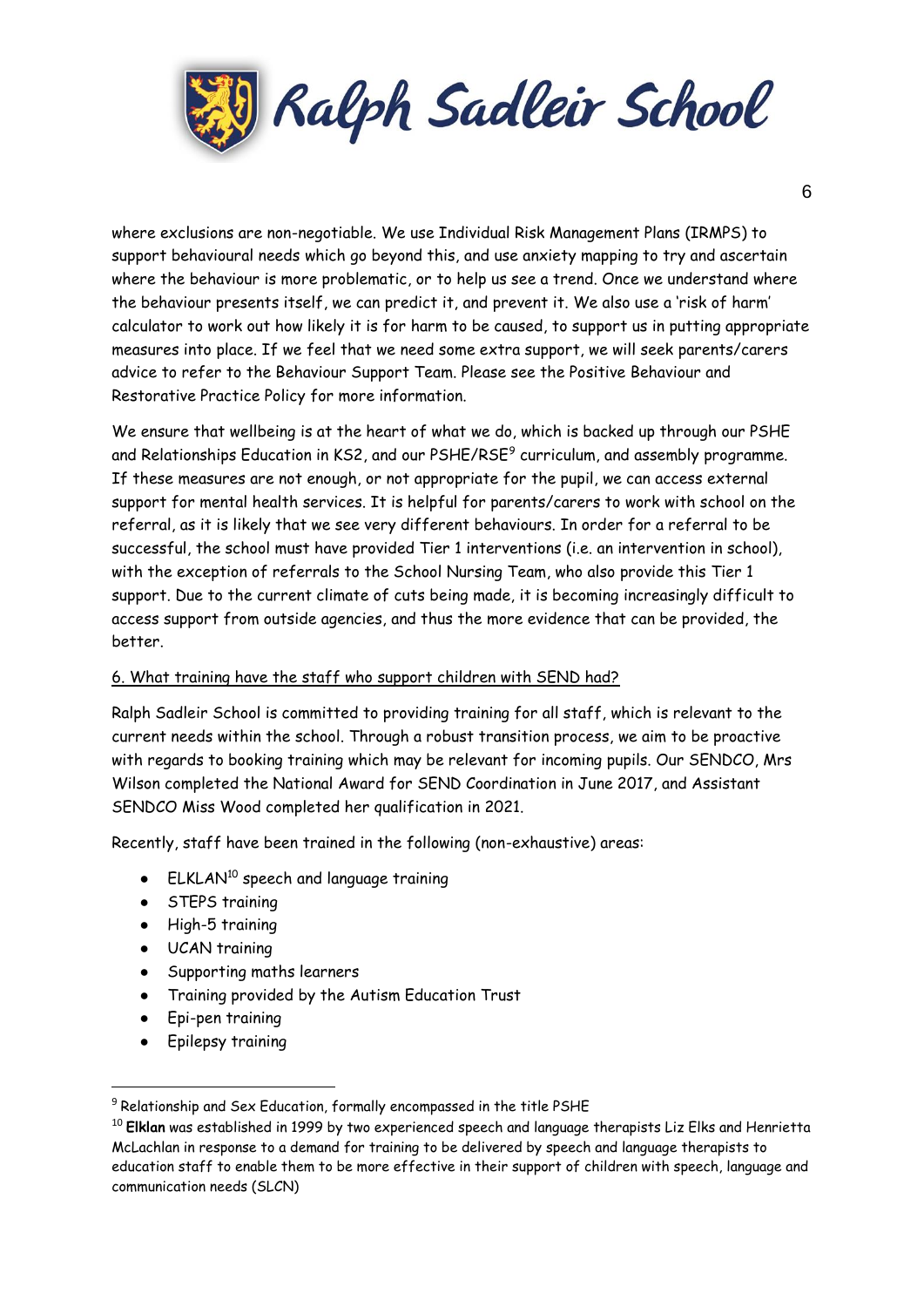

where exclusions are non-negotiable. We use Individual Risk Management Plans (IRMPS) to support behavioural needs which go beyond this, and use anxiety mapping to try and ascertain where the behaviour is more problematic, or to help us see a trend. Once we understand where the behaviour presents itself, we can predict it, and prevent it. We also use a 'risk of harm' calculator to work out how likely it is for harm to be caused, to support us in putting appropriate measures into place. If we feel that we need some extra support, we will seek parents/carers advice to refer to the Behaviour Support Team. Please see the Positive Behaviour and Restorative Practice Policy for more information.

We ensure that wellbeing is at the heart of what we do, which is backed up through our PSHE and Relationships Education in KS2, and our PSHE/RSE<sup>9</sup> curriculum, and assembly programme. If these measures are not enough, or not appropriate for the pupil, we can access external support for mental health services. It is helpful for parents/carers to work with school on the referral, as it is likely that we see very different behaviours. In order for a referral to be successful, the school must have provided Tier 1 interventions (i.e. an intervention in school), with the exception of referrals to the School Nursing Team, who also provide this Tier 1 support. Due to the current climate of cuts being made, it is becoming increasingly difficult to access support from outside agencies, and thus the more evidence that can be provided, the better.

## 6. What training have the staff who support children with SEND had?

Ralph Sadleir School is committed to providing training for all staff, which is relevant to the current needs within the school. Through a robust transition process, we aim to be proactive with regards to booking training which may be relevant for incoming pupils. Our SENDCO, Mrs Wilson completed the National Award for SEND Coordination in June 2017, and Assistant SENDCO Miss Wood completed her qualification in 2021.

Recently, staff have been trained in the following (non-exhaustive) areas:

- ELKLAN<sup>10</sup> speech and language training
- STEPS training
- High-5 training
- UCAN training
- Supporting maths learners
- Training provided by the Autism Education Trust
- Epi-pen training
- Epilepsy training

 $\overline{a}$ 

 $9$  Relationship and Sex Education, formally encompassed in the title PSHE

<sup>10</sup> **Elklan** was established in 1999 by two experienced speech and language therapists Liz Elks and Henrietta McLachlan in response to a demand for training to be delivered by speech and language therapists to education staff to enable them to be more effective in their support of children with speech, language and communication needs (SLCN)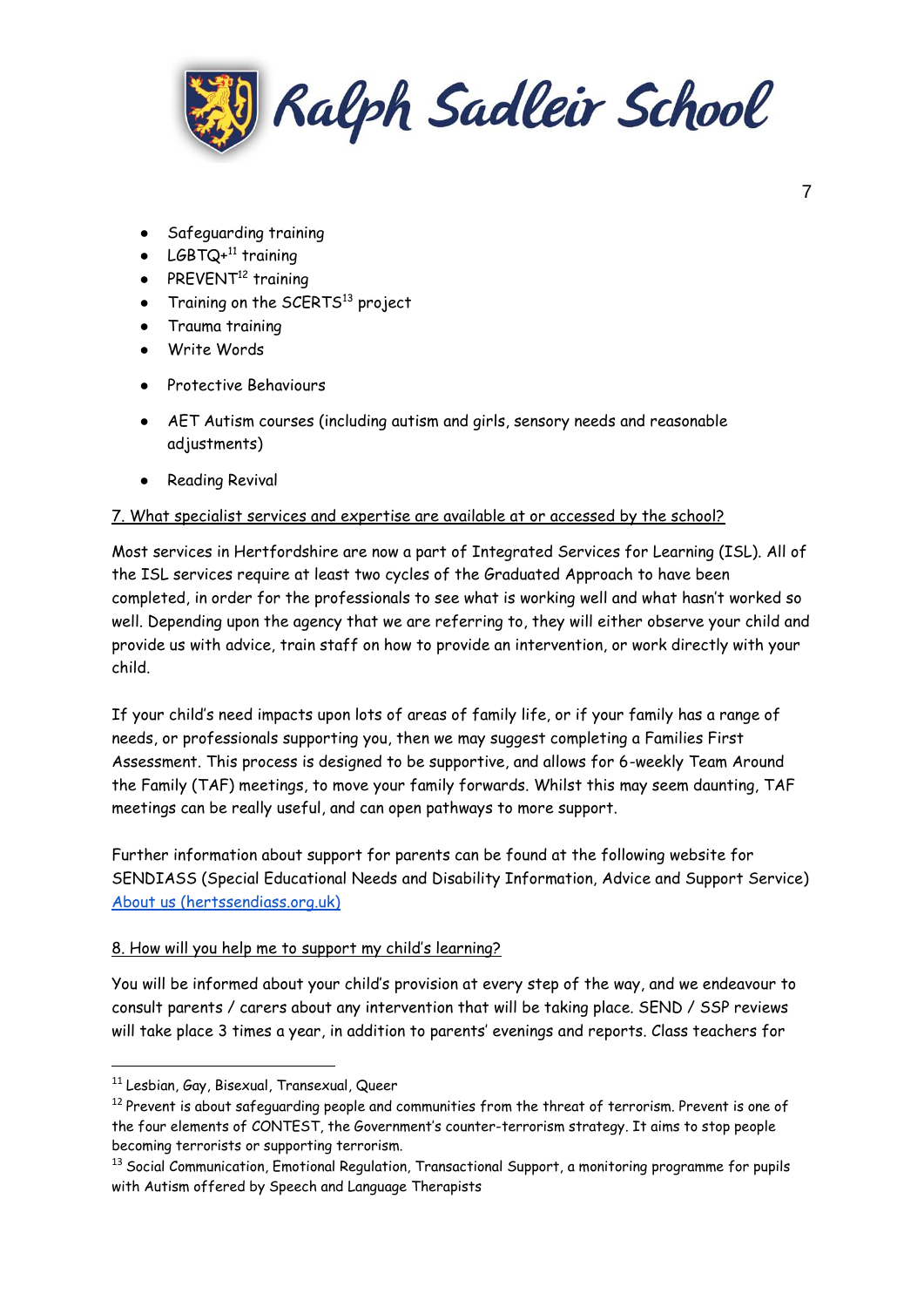

- Safeguarding training
- LGBTQ+ $^{11}$  training
- PREVENT<sup>12</sup> training
- Training on the SCERTS<sup>13</sup> project
- Trauma training
- Write Words
- Protective Behaviours
- AET Autism courses (including autism and girls, sensory needs and reasonable adjustments)
- Reading Revival

### 7. What specialist services and expertise are available at or accessed by the school?

Most services in Hertfordshire are now a part of Integrated Services for Learning (ISL). All of the ISL services require at least two cycles of the Graduated Approach to have been completed, in order for the professionals to see what is working well and what hasn't worked so well. Depending upon the agency that we are referring to, they will either observe your child and provide us with advice, train staff on how to provide an intervention, or work directly with your child.

If your child's need impacts upon lots of areas of family life, or if your family has a range of needs, or professionals supporting you, then we may suggest completing a Families First Assessment. This process is designed to be supportive, and allows for 6-weekly Team Around the Family (TAF) meetings, to move your family forwards. Whilst this may seem daunting, TAF meetings can be really useful, and can open pathways to more support.

Further information about support for parents can be found at the following website for SENDIASS (Special Educational Needs and Disability Information, Advice and Support Service) [About us \(hertssendiass.org.uk\)](https://hertssendiass.org.uk/about-us.aspx)

## 8. How will you help me to support my child's learning?

You will be informed about your child's provision at every step of the way, and we endeavour to consult parents / carers about any intervention that will be taking place. SEND / SSP reviews will take place 3 times a year, in addition to parents' evenings and reports. Class teachers for

**.** 

<sup>11</sup> Lesbian, Gay, Bisexual, Transexual, Queer

 $12$  Prevent is about safeguarding people and communities from the threat of terrorism. Prevent is one of the four elements of CONTEST, the Government's counter-terrorism strategy. It aims to stop people becoming terrorists or supporting terrorism.

<sup>&</sup>lt;sup>13</sup> Social Communication, Emotional Regulation, Transactional Support, a monitoring programme for pupils with Autism offered by Speech and Language Therapists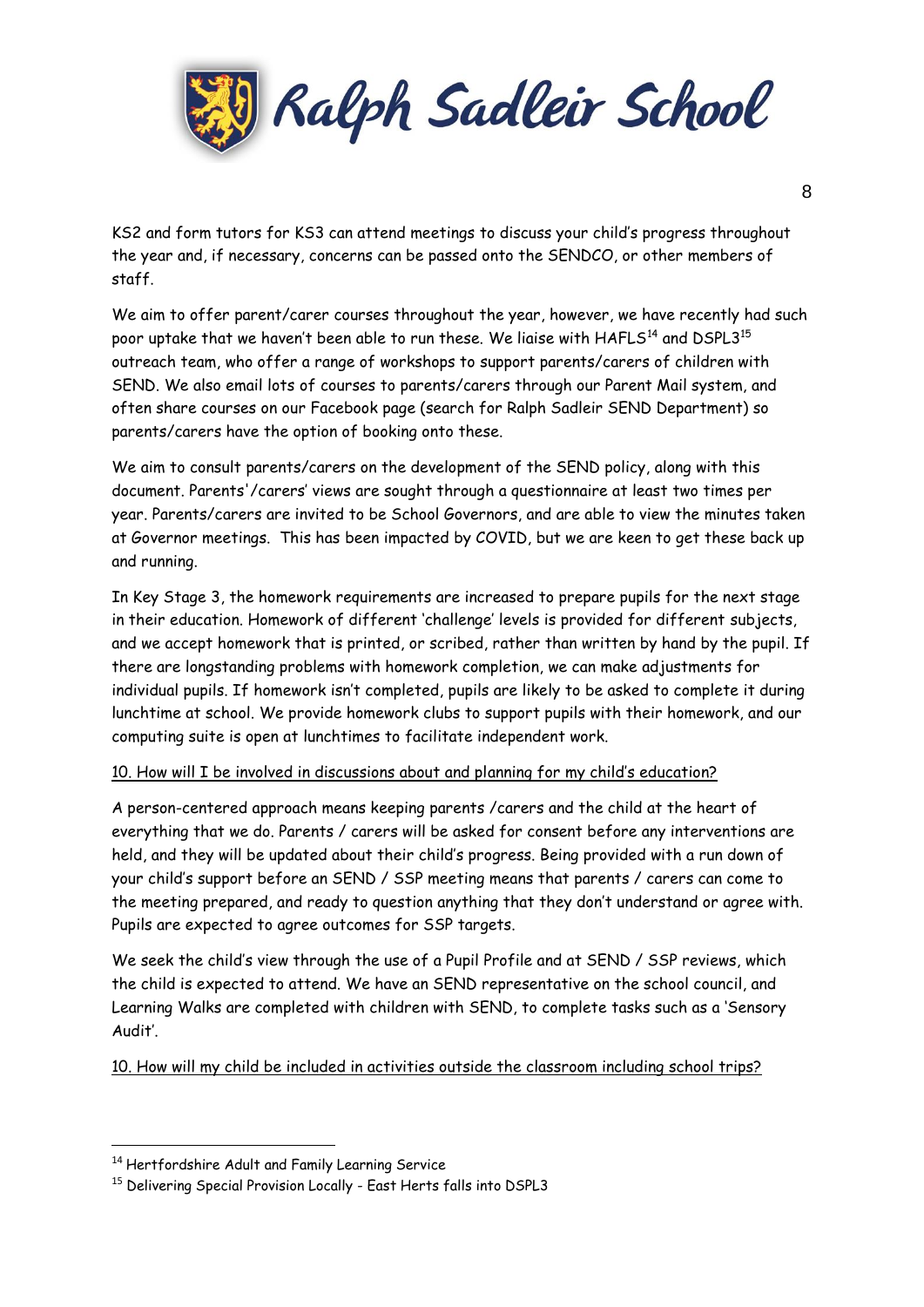

KS2 and form tutors for KS3 can attend meetings to discuss your child's progress throughout the year and, if necessary, concerns can be passed onto the SENDCO, or other members of staff.

We aim to offer parent/carer courses throughout the year, however, we have recently had such poor uptake that we haven't been able to run these. We liaise with  $HAFLS^{14}$  and  $DSPL3^{15}$ outreach team, who offer a range of workshops to support parents/carers of children with SEND. We also email lots of courses to parents/carers through our Parent Mail system, and often share courses on our Facebook page (search for Ralph Sadleir SEND Department) so parents/carers have the option of booking onto these.

We aim to consult parents/carers on the development of the SEND policy, along with this document. Parents'/carers' views are sought through a questionnaire at least two times per year. Parents/carers are invited to be School Governors, and are able to view the minutes taken at Governor meetings. This has been impacted by COVID, but we are keen to get these back up and running.

In Key Stage 3, the homework requirements are increased to prepare pupils for the next stage in their education. Homework of different 'challenge' levels is provided for different subjects, and we accept homework that is printed, or scribed, rather than written by hand by the pupil. If there are longstanding problems with homework completion, we can make adjustments for individual pupils. If homework isn't completed, pupils are likely to be asked to complete it during lunchtime at school. We provide homework clubs to support pupils with their homework, and our computing suite is open at lunchtimes to facilitate independent work.

## 10. How will I be involved in discussions about and planning for my child's education?

A person-centered approach means keeping parents /carers and the child at the heart of everything that we do. Parents / carers will be asked for consent before any interventions are held, and they will be updated about their child's progress. Being provided with a run down of your child's support before an SEND / SSP meeting means that parents / carers can come to the meeting prepared, and ready to question anything that they don't understand or agree with. Pupils are expected to agree outcomes for SSP targets.

We seek the child's view through the use of a Pupil Profile and at SEND / SSP reviews, which the child is expected to attend. We have an SEND representative on the school council, and Learning Walks are completed with children with SEND, to complete tasks such as a 'Sensory Audit'.

10. How will my child be included in activities outside the classroom including school trips?

**.** 

<sup>14</sup> Hertfordshire Adult and Family Learning Service

<sup>&</sup>lt;sup>15</sup> Delivering Special Provision Locally - East Herts falls into DSPL3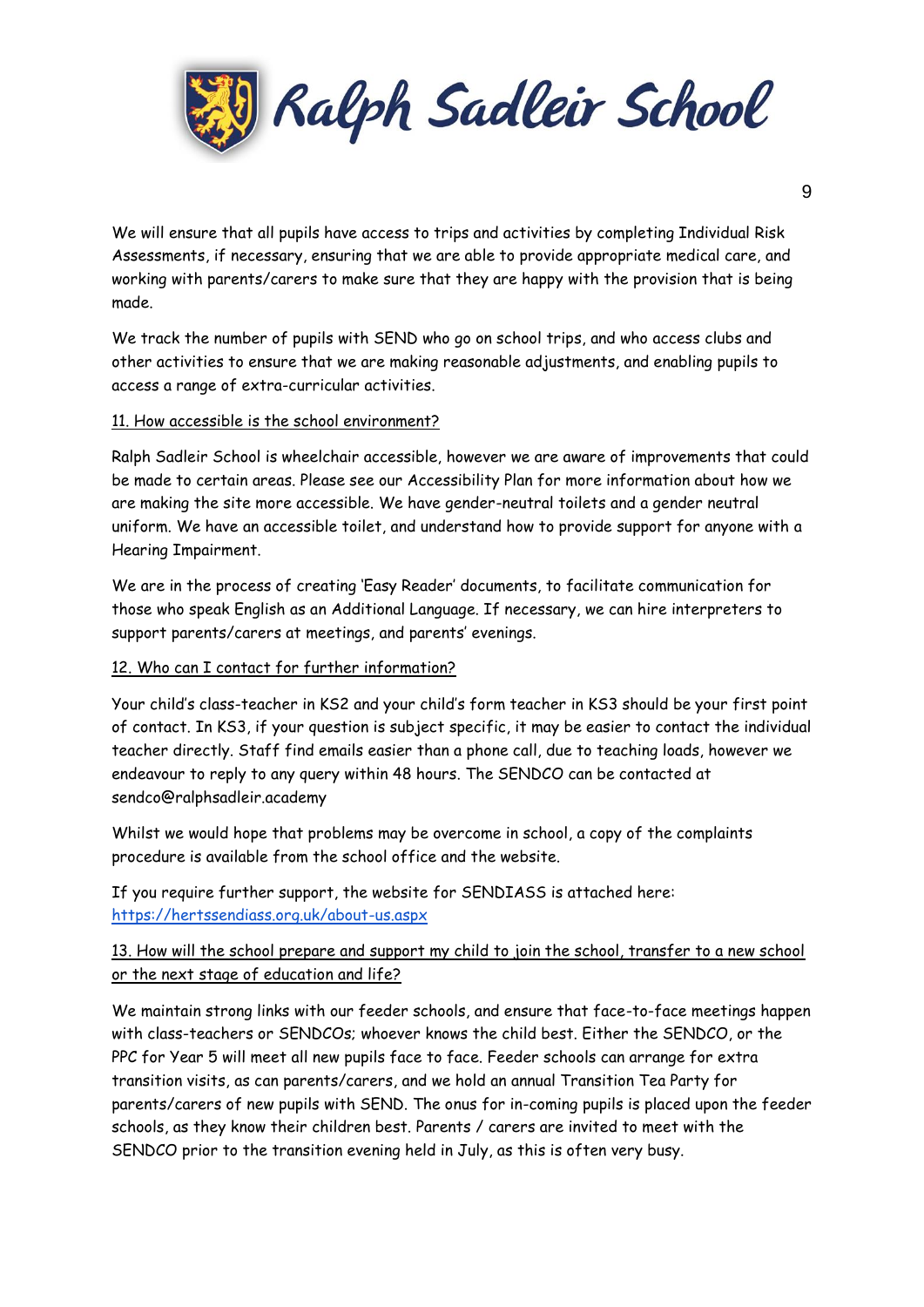

We will ensure that all pupils have access to trips and activities by completing Individual Risk Assessments, if necessary, ensuring that we are able to provide appropriate medical care, and working with parents/carers to make sure that they are happy with the provision that is being made.

We track the number of pupils with SEND who go on school trips, and who access clubs and other activities to ensure that we are making reasonable adjustments, and enabling pupils to access a range of extra-curricular activities.

### 11. How accessible is the school environment?

Ralph Sadleir School is wheelchair accessible, however we are aware of improvements that could be made to certain areas. Please see our Accessibility Plan for more information about how we are making the site more accessible. We have gender-neutral toilets and a gender neutral uniform. We have an accessible toilet, and understand how to provide support for anyone with a Hearing Impairment.

We are in the process of creating 'Easy Reader' documents, to facilitate communication for those who speak English as an Additional Language. If necessary, we can hire interpreters to support parents/carers at meetings, and parents' evenings.

#### 12. Who can I contact for further information?

Your child's class-teacher in KS2 and your child's form teacher in KS3 should be your first point of contact. In KS3, if your question is subject specific, it may be easier to contact the individual teacher directly. Staff find emails easier than a phone call, due to teaching loads, however we endeavour to reply to any query within 48 hours. The SENDCO can be contacted at sendco@ralphsadleir.academy

Whilst we would hope that problems may be overcome in school, a copy of the complaints procedure is available from the school office and the website.

If you require further support, the website for SENDIASS is attached here: <https://hertssendiass.org.uk/about-us.aspx>

## 13. How will the school prepare and support my child to join the school, transfer to a new school or the next stage of education and life?

We maintain strong links with our feeder schools, and ensure that face-to-face meetings happen with class-teachers or SENDCOs; whoever knows the child best. Either the SENDCO, or the PPC for Year 5 will meet all new pupils face to face. Feeder schools can arrange for extra transition visits, as can parents/carers, and we hold an annual Transition Tea Party for parents/carers of new pupils with SEND. The onus for in-coming pupils is placed upon the feeder schools, as they know their children best. Parents / carers are invited to meet with the SENDCO prior to the transition evening held in July, as this is often very busy.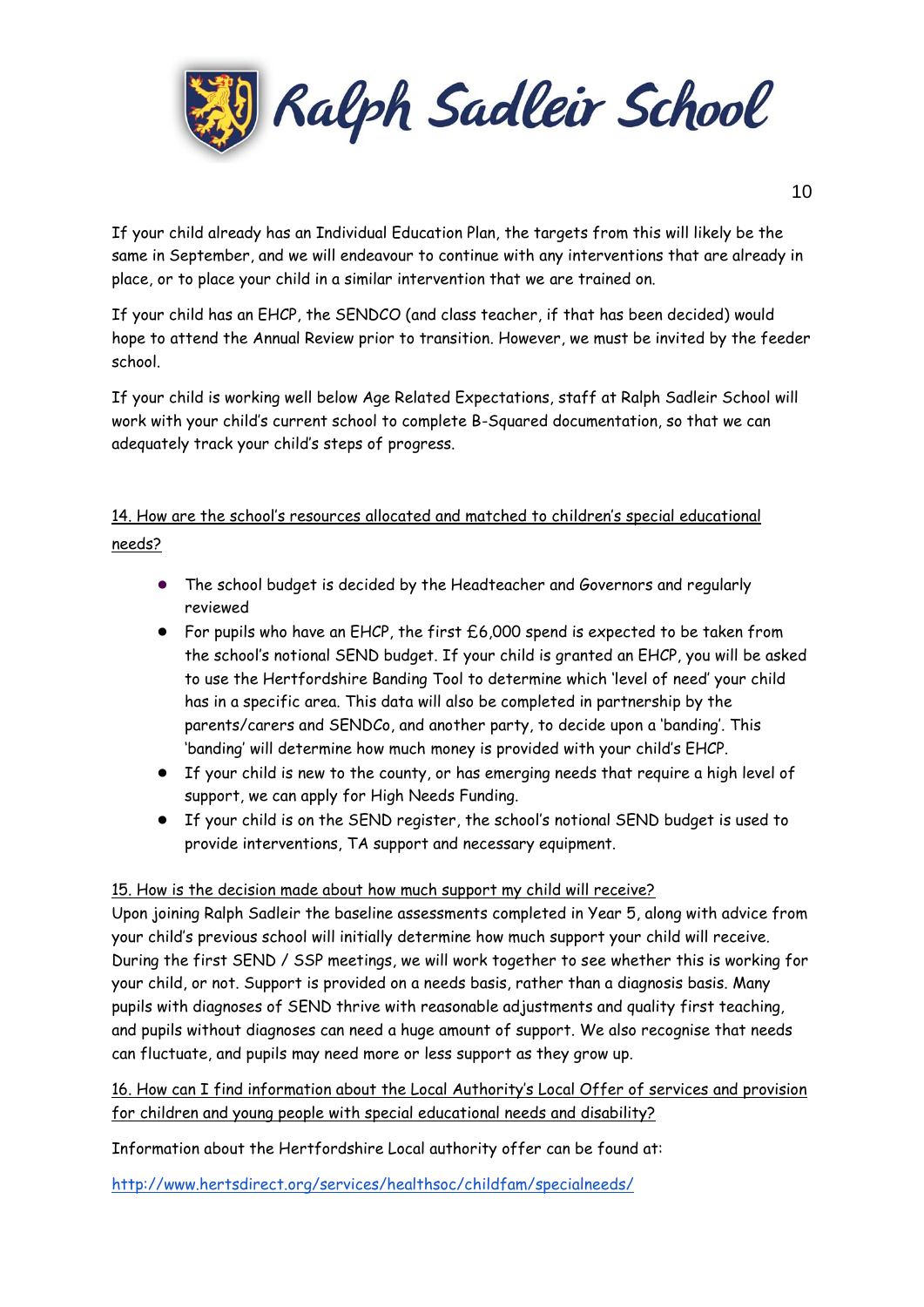

If your child already has an Individual Education Plan, the targets from this will likely be the same in September, and we will endeavour to continue with any interventions that are already in place, or to place your child in a similar intervention that we are trained on.

If your child has an EHCP, the SENDCO (and class teacher, if that has been decided) would hope to attend the Annual Review prior to transition. However, we must be invited by the feeder school.

If your child is working well below Age Related Expectations, staff at Ralph Sadleir School will work with your child's current school to complete B-Squared documentation, so that we can adequately track your child's steps of progress.

# 14. How are the school's resources allocated and matched to children's special educational needs?

- The school budget is decided by the Headteacher and Governors and regularly reviewed
- For pupils who have an EHCP, the first  $£6,000$  spend is expected to be taken from the school's notional SEND budget. If your child is granted an EHCP, you will be asked to use the Hertfordshire Banding Tool to determine which 'level of need' your child has in a specific area. This data will also be completed in partnership by the parents/carers and SENDCo, and another party, to decide upon a 'banding'. This 'banding' will determine how much money is provided with your child's EHCP.
- If your child is new to the county, or has emerging needs that require a high level of support, we can apply for High Needs Funding.
- If your child is on the SEND register, the school's notional SEND budget is used to provide interventions, TA support and necessary equipment.

## 15. How is the decision made about how much support my child will receive?

Upon joining Ralph Sadleir the baseline assessments completed in Year 5, along with advice from your child's previous school will initially determine how much support your child will receive. During the first SEND / SSP meetings, we will work together to see whether this is working for your child, or not. Support is provided on a needs basis, rather than a diagnosis basis. Many pupils with diagnoses of SEND thrive with reasonable adjustments and quality first teaching, and pupils without diagnoses can need a huge amount of support. We also recognise that needs can fluctuate, and pupils may need more or less support as they grow up.

16. How can I find information about the Local Authority's Local Offer of services and provision for children and young people with special educational needs and disability?

Information about the Hertfordshire Local authority offer can be found at:

<http://www.hertsdirect.org/services/healthsoc/childfam/specialneeds/>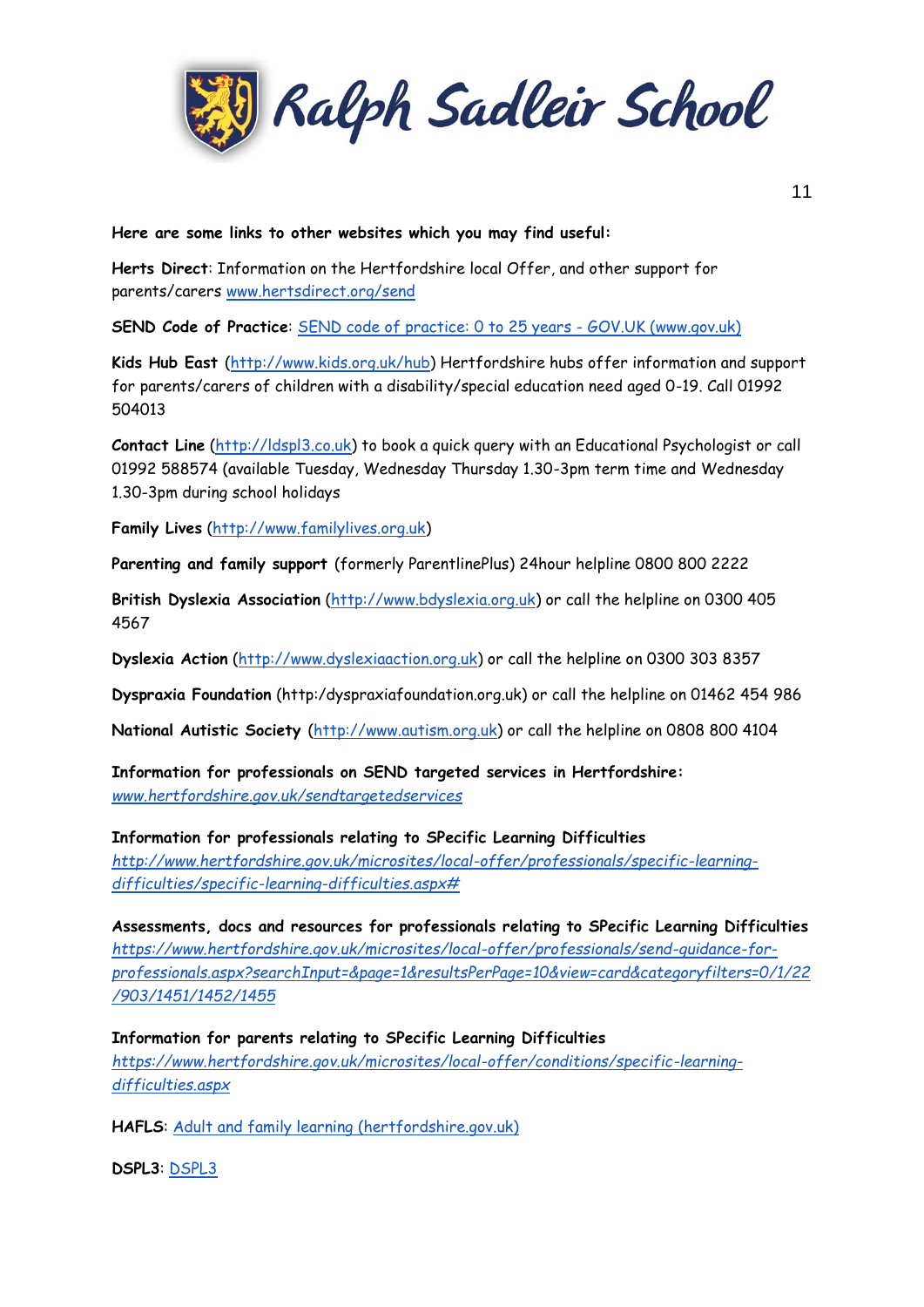

#### **Here are some links to other websites which you may find useful:**

**Herts Direct**: Information on the Hertfordshire local Offer, and other support for parents/carers [www.hertsdirect.org/send](http://www.hertsdirect.org/send)

**SEND Code of Practice**: [SEND code of practice: 0 to 25 years -](https://www.gov.uk/government/publications/send-code-of-practice-0-to-25) GOV.UK (www.gov.uk)

**Kids Hub East** [\(http://www.kids.org.uk/hub\)](http://www.kids.org.uk/hub) Hertfordshire hubs offer information and support for parents/carers of children with a disability/special education need aged 0-19. Call 01992 504013

**Contact Line** [\(http://ldspl3.co.uk\)](http://ldspl3.co.uk/) to book a quick query with an Educational Psychologist or call 01992 588574 (available Tuesday, Wednesday Thursday 1.30-3pm term time and Wednesday 1.30-3pm during school holidays

**Family Lives** [\(http://www.familylives.org.uk\)](http://www.familylives.org.uk/)

**Parenting and family support** (formerly ParentlinePlus) 24hour helpline 0800 800 2222

**British Dyslexia Association** [\(http://www.bdyslexia.org.uk\)](http://www.bdyslexia.org.uk/) or call the helpline on 0300 405 4567

**Dyslexia Action** [\(http://www.dyslexiaaction.org.uk\)](http://www.dyslexiaaction.org.uk/) or call the helpline on 0300 303 8357

**Dyspraxia Foundation** (http:/dyspraxiafoundation.org.uk) or call the helpline on 01462 454 986

**National Autistic Society** [\(http://www.autism.org.uk\)](http://www.autism.org.uk/) or call the helpline on 0808 800 4104

**Information for professionals on SEND targeted services in Hertfordshire:**  *[www.hertfordshire.gov.uk/sendtargetedservices](http://www.hertfordshire.gov.uk/sendtargetedservices)*

**Information for professionals relating to SPecific Learning Difficulties** 

*[http://www.hertfordshire.gov.uk/microsites/local-offer/professionals/specific-learning](http://www.hertfordshire.gov.uk/microsites/local-offer/professionals/specific-learning-difficulties/specific-learning-difficulties.aspx)[difficulties/specific-learning-difficulties.aspx#](http://www.hertfordshire.gov.uk/microsites/local-offer/professionals/specific-learning-difficulties/specific-learning-difficulties.aspx)*

**Assessments, docs and resources for professionals relating to SPecific Learning Difficulties**  *[https://www.hertfordshire.gov.uk/microsites/local-offer/professionals/send-guidance-for](https://www.hertfordshire.gov.uk/microsites/local-offer/professionals/send-guidance-for-professionals.aspx?searchInput=&page=1&resultsPerPage=10&view=card&categoryfilters=0/1/22/903/1451/1452/1455)[professionals.aspx?searchInput=&page=1&resultsPerPage=10&view=card&categoryfilters=0/1/22](https://www.hertfordshire.gov.uk/microsites/local-offer/professionals/send-guidance-for-professionals.aspx?searchInput=&page=1&resultsPerPage=10&view=card&categoryfilters=0/1/22/903/1451/1452/1455) [/903/1451/1452/1455](https://www.hertfordshire.gov.uk/microsites/local-offer/professionals/send-guidance-for-professionals.aspx?searchInput=&page=1&resultsPerPage=10&view=card&categoryfilters=0/1/22/903/1451/1452/1455)*

**Information for parents relating to SPecific Learning Difficulties**  *[https://www.hertfordshire.gov.uk/microsites/local-offer/conditions/specific-learning](https://www.hertfordshire.gov.uk/microsites/local-offer/conditions/specific-learning-difficulties.aspx)[difficulties.aspx](https://www.hertfordshire.gov.uk/microsites/local-offer/conditions/specific-learning-difficulties.aspx)*

**HAFLS**: [Adult and family learning \(hertfordshire.gov.uk\)](https://www.hertfordshire.gov.uk/microsites/adult-learning/adult-learning.aspx)

**DSPL3**: [DSPL3](https://dspl3.co.uk/)